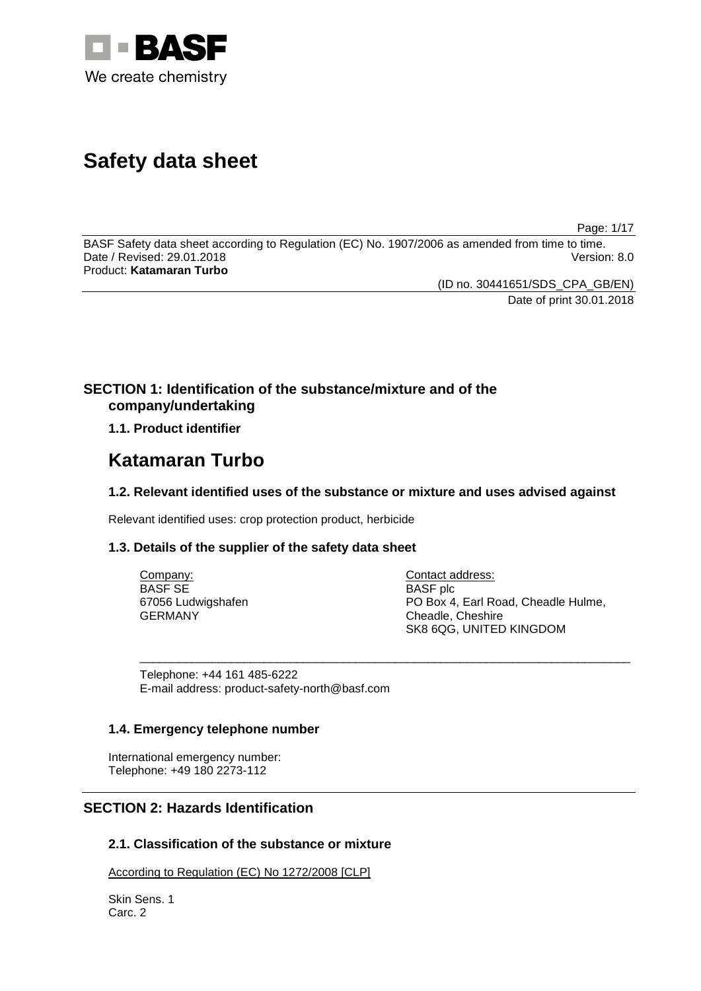

# **Safety data sheet**

Page: 1/17

BASF Safety data sheet according to Regulation (EC) No. 1907/2006 as amended from time to time. Date / Revised: 29.01.2018 Version: 8.0 Product: **Katamaran Turbo**

(ID no. 30441651/SDS\_CPA\_GB/EN)

Date of print 30.01.2018

# **SECTION 1: Identification of the substance/mixture and of the company/undertaking**

**1.1. Product identifier**

# **Katamaran Turbo**

# **1.2. Relevant identified uses of the substance or mixture and uses advised against**

Relevant identified uses: crop protection product, herbicide

# **1.3. Details of the supplier of the safety data sheet**

| Company:           | Contact address:                    |
|--------------------|-------------------------------------|
| <b>BASE SE</b>     | <b>BASF</b> plc                     |
| 67056 Ludwigshafen | PO Box 4, Earl Road, Cheadle Hulme, |
| <b>GERMANY</b>     | Cheadle, Cheshire                   |
|                    | SK8 6QG, UNITED KINGDOM             |

\_\_\_\_\_\_\_\_\_\_\_\_\_\_\_\_\_\_\_\_\_\_\_\_\_\_\_\_\_\_\_\_\_\_\_\_\_\_\_\_\_\_\_\_\_\_\_\_\_\_\_\_\_\_\_\_\_\_\_\_\_\_\_\_\_\_\_\_\_\_\_\_\_\_\_

Telephone: +44 161 485-6222 E-mail address: product-safety-north@basf.com

# **1.4. Emergency telephone number**

International emergency number: Telephone: +49 180 2273-112

# **SECTION 2: Hazards Identification**

# **2.1. Classification of the substance or mixture**

According to Regulation (EC) No 1272/2008 [CLP]

Skin Sens. 1 Carc. 2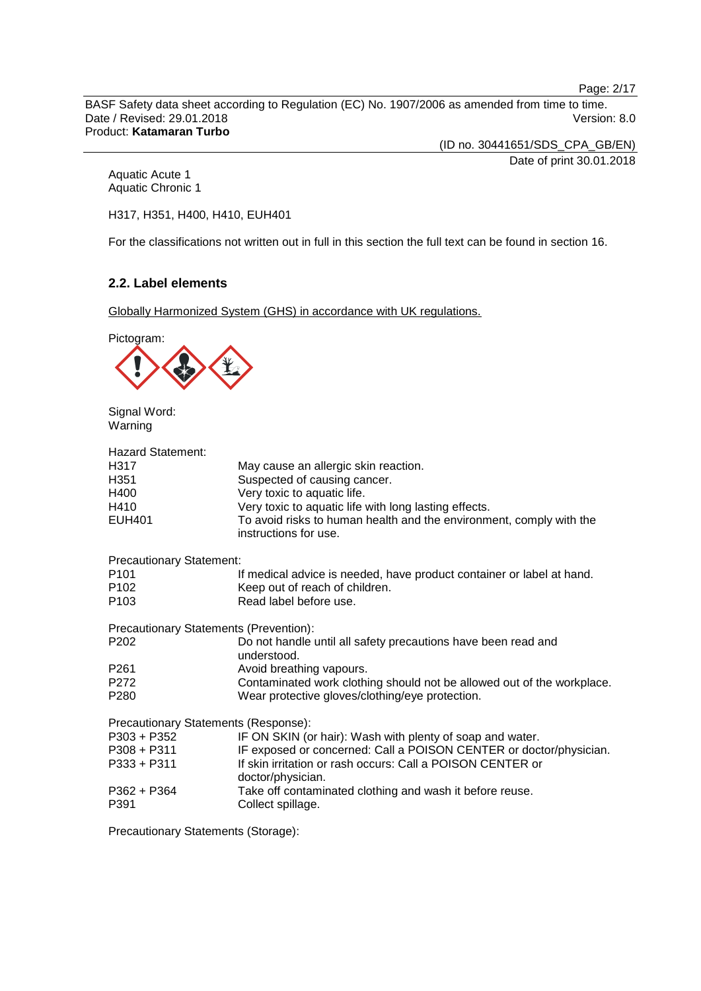Page: 2/17

BASF Safety data sheet according to Regulation (EC) No. 1907/2006 as amended from time to time. Date / Revised: 29.01.2018 **Version: 8.0** Product: **Katamaran Turbo**

(ID no. 30441651/SDS\_CPA\_GB/EN)

Date of print 30.01.2018

Aquatic Acute 1 Aquatic Chronic 1

H317, H351, H400, H410, EUH401

For the classifications not written out in full in this section the full text can be found in section 16.

# **2.2. Label elements**

Globally Harmonized System (GHS) in accordance with UK regulations.



Signal Word: Warning

| <b>Hazard Statement:</b>               |                                                                                              |
|----------------------------------------|----------------------------------------------------------------------------------------------|
| H317                                   | May cause an allergic skin reaction.                                                         |
| H351                                   | Suspected of causing cancer.                                                                 |
| H400                                   | Very toxic to aquatic life.                                                                  |
| H410                                   | Very toxic to aquatic life with long lasting effects.                                        |
| EUH401                                 | To avoid risks to human health and the environment, comply with the<br>instructions for use. |
| <b>Precautionary Statement:</b>        |                                                                                              |
| P101                                   | If medical advice is needed, have product container or label at hand.                        |
| P102                                   | Keep out of reach of children.                                                               |
| P103                                   | Read label before use.                                                                       |
| Precautionary Statements (Prevention): |                                                                                              |
| P202                                   | Do not handle until all safety precautions have been read and<br>understood.                 |
| P261                                   | Avoid breathing vapours.                                                                     |
| P272                                   | Contaminated work clothing should not be allowed out of the workplace.                       |
| P280                                   | Wear protective gloves/clothing/eye protection.                                              |
| Precautionary Statements (Response):   |                                                                                              |
| P303 + P352                            | IF ON SKIN (or hair): Wash with plenty of soap and water.                                    |
| P308 + P311                            | IF exposed or concerned: Call a POISON CENTER or doctor/physician.                           |
| P333 + P311                            | If skin irritation or rash occurs: Call a POISON CENTER or<br>doctor/physician.              |
| P362 + P364                            | Take off contaminated clothing and wash it before reuse.                                     |
| P391                                   | Collect spillage.                                                                            |

Precautionary Statements (Storage):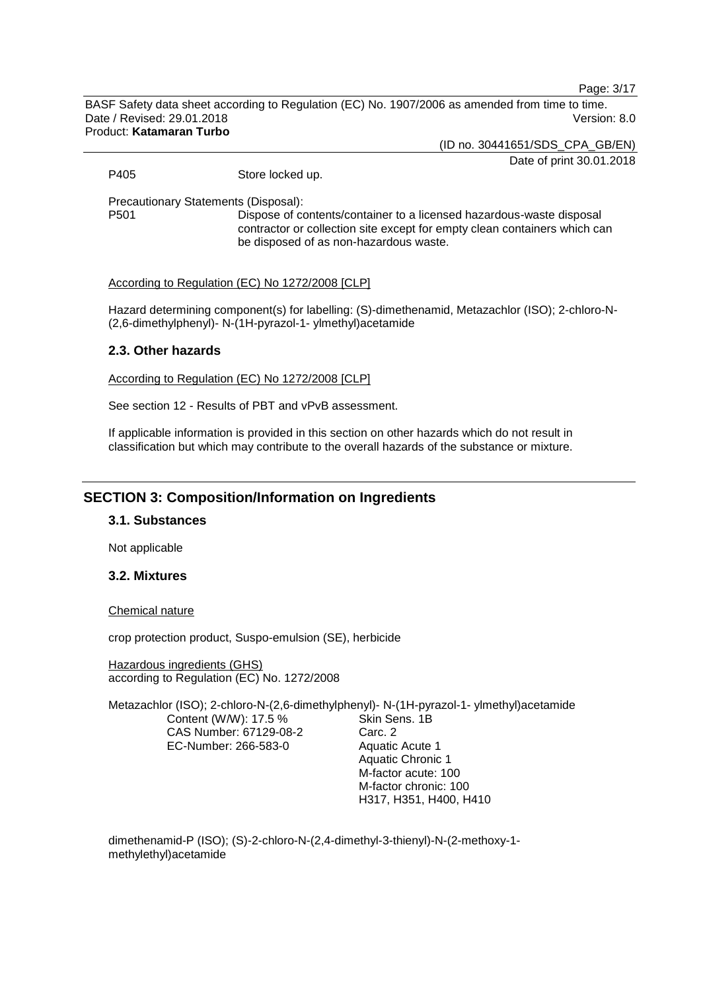Page: 3/17

BASF Safety data sheet according to Regulation (EC) No. 1907/2006 as amended from time to time. Date / Revised: 29.01.2018 Version: 8.0 Product: **Katamaran Turbo**

(ID no. 30441651/SDS\_CPA\_GB/EN)

Date of print 30.01.2018

P405 Store locked up.

Precautionary Statements (Disposal):

Dispose of contents/container to a licensed hazardous-waste disposal contractor or collection site except for empty clean containers which can be disposed of as non-hazardous waste.

According to Regulation (EC) No 1272/2008 [CLP]

Hazard determining component(s) for labelling: (S)-dimethenamid, Metazachlor (ISO); 2-chloro-N- (2,6-dimethylphenyl)- N-(1H-pyrazol-1- ylmethyl)acetamide

# **2.3. Other hazards**

According to Regulation (EC) No 1272/2008 [CLP]

See section 12 - Results of PBT and vPvB assessment.

If applicable information is provided in this section on other hazards which do not result in classification but which may contribute to the overall hazards of the substance or mixture.

# **SECTION 3: Composition/Information on Ingredients**

#### **3.1. Substances**

Not applicable

# **3.2. Mixtures**

#### Chemical nature

crop protection product, Suspo-emulsion (SE), herbicide

Hazardous ingredients (GHS) according to Regulation (EC) No. 1272/2008

Metazachlor (ISO); 2-chloro-N-(2,6-dimethylphenyl)- N-(1H-pyrazol-1- ylmethyl)acetamide Content (W/W): 17.5 % CAS Number: 67129-08-2 EC-Number: 266-583-0 Skin Sens. 1B Carc. 2 Aquatic Acute 1 Aquatic Chronic 1

M-factor acute: 100 M-factor chronic: 100 H317, H351, H400, H410

dimethenamid-P (ISO); (S)-2-chloro-N-(2,4-dimethyl-3-thienyl)-N-(2-methoxy-1 methylethyl)acetamide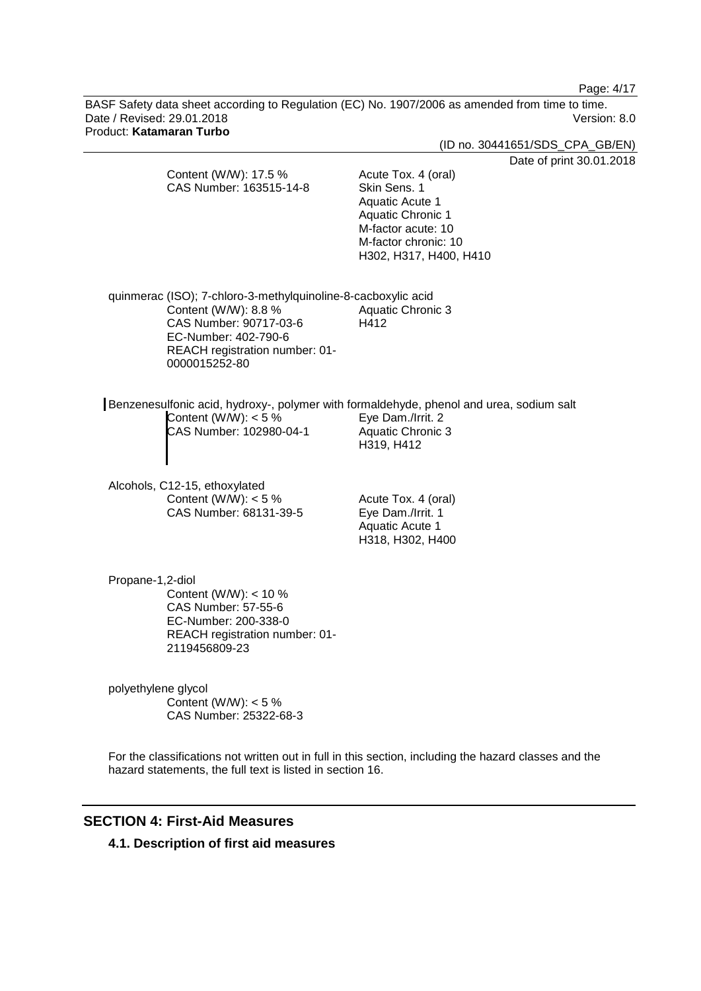Page: 4/17

BASF Safety data sheet according to Regulation (EC) No. 1907/2006 as amended from time to time. Date / Revised: 29.01.2018 **Version: 8.0** Product: **Katamaran Turbo**

|                                                                                                                                                                                            | (ID no. 30441651/SDS_CPA_GB/EN)                                                                                                                                                        |
|--------------------------------------------------------------------------------------------------------------------------------------------------------------------------------------------|----------------------------------------------------------------------------------------------------------------------------------------------------------------------------------------|
| Content (W/W): 17.5 %<br>CAS Number: 163515-14-8                                                                                                                                           | Date of print 30.01.2018<br>Acute Tox. 4 (oral)<br>Skin Sens. 1<br>Aquatic Acute 1<br><b>Aquatic Chronic 1</b><br>M-factor acute: 10<br>M-factor chronic: 10<br>H302, H317, H400, H410 |
| quinmerac (ISO); 7-chloro-3-methylquinoline-8-cacboxylic acid<br>Content (W/W): 8.8 %<br>CAS Number: 90717-03-6<br>EC-Number: 402-790-6<br>REACH registration number: 01-<br>0000015252-80 | <b>Aquatic Chronic 3</b><br>H412                                                                                                                                                       |
| Benzenesulfonic acid, hydroxy-, polymer with formaldehyde, phenol and urea, sodium salt<br>Content (W/W): $<$ 5 %<br>CAS Number: 102980-04-1                                               | Eye Dam./Irrit. 2<br>Aquatic Chronic 3<br>H319, H412                                                                                                                                   |
| Alcohols, C12-15, ethoxylated<br>Content (W/W): $<$ 5 %<br>CAS Number: 68131-39-5                                                                                                          | Acute Tox. 4 (oral)<br>Eye Dam./Irrit. 1<br>Aquatic Acute 1<br>H318, H302, H400                                                                                                        |
| Propane-1,2-diol<br>Content (W/W): $<$ 10 %<br>CAS Number: 57-55-6<br>EC-Number: 200-338-0<br>REACH registration number: 01-<br>2119456809-23                                              |                                                                                                                                                                                        |
| polyethylene glycol<br>Content (W/W): $<$ 5 %<br>CAS Number: 25322-68-3                                                                                                                    |                                                                                                                                                                                        |

For the classifications not written out in full in this section, including the hazard classes and the hazard statements, the full text is listed in section 16.

# **SECTION 4: First-Aid Measures**

**4.1. Description of first aid measures**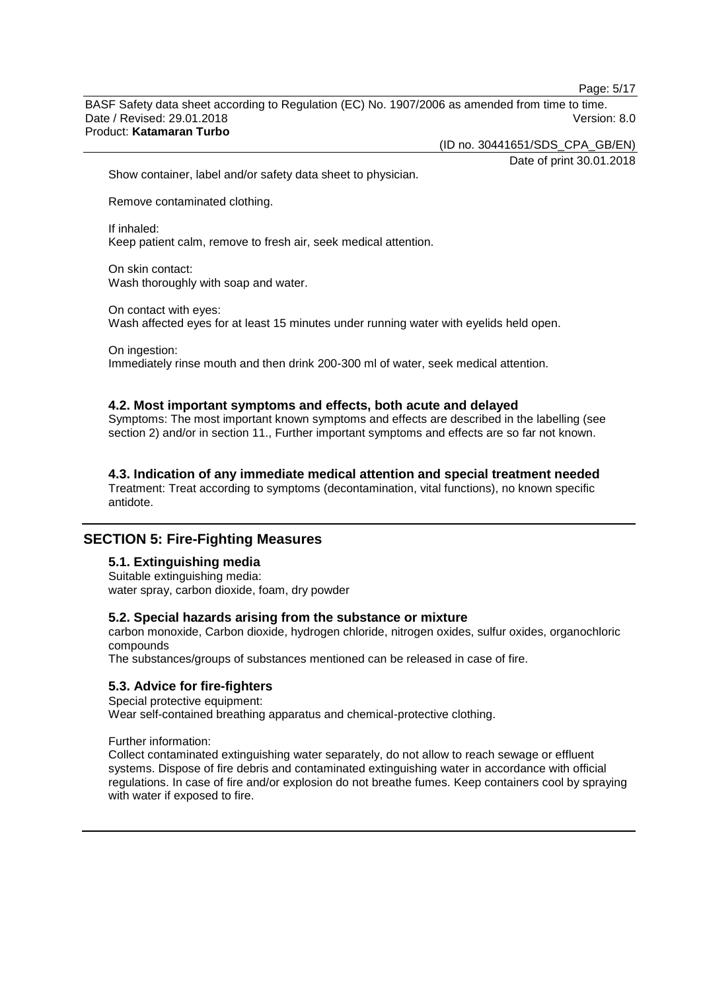Page: 5/17

BASF Safety data sheet according to Regulation (EC) No. 1907/2006 as amended from time to time. Date / Revised: 29.01.2018 Version: 8.0 Product: **Katamaran Turbo**

(ID no. 30441651/SDS\_CPA\_GB/EN)

Date of print 30.01.2018

Show container, label and/or safety data sheet to physician.

Remove contaminated clothing.

If inhaled: Keep patient calm, remove to fresh air, seek medical attention.

On skin contact: Wash thoroughly with soap and water.

On contact with eyes: Wash affected eyes for at least 15 minutes under running water with eyelids held open.

On ingestion: Immediately rinse mouth and then drink 200-300 ml of water, seek medical attention.

#### **4.2. Most important symptoms and effects, both acute and delayed**

Symptoms: The most important known symptoms and effects are described in the labelling (see section 2) and/or in section 11., Further important symptoms and effects are so far not known.

### **4.3. Indication of any immediate medical attention and special treatment needed**

Treatment: Treat according to symptoms (decontamination, vital functions), no known specific antidote.

# **SECTION 5: Fire-Fighting Measures**

# **5.1. Extinguishing media**

Suitable extinguishing media: water spray, carbon dioxide, foam, dry powder

#### **5.2. Special hazards arising from the substance or mixture**

carbon monoxide, Carbon dioxide, hydrogen chloride, nitrogen oxides, sulfur oxides, organochloric compounds

The substances/groups of substances mentioned can be released in case of fire.

### **5.3. Advice for fire-fighters**

Special protective equipment: Wear self-contained breathing apparatus and chemical-protective clothing.

Further information:

Collect contaminated extinguishing water separately, do not allow to reach sewage or effluent systems. Dispose of fire debris and contaminated extinguishing water in accordance with official regulations. In case of fire and/or explosion do not breathe fumes. Keep containers cool by spraying with water if exposed to fire.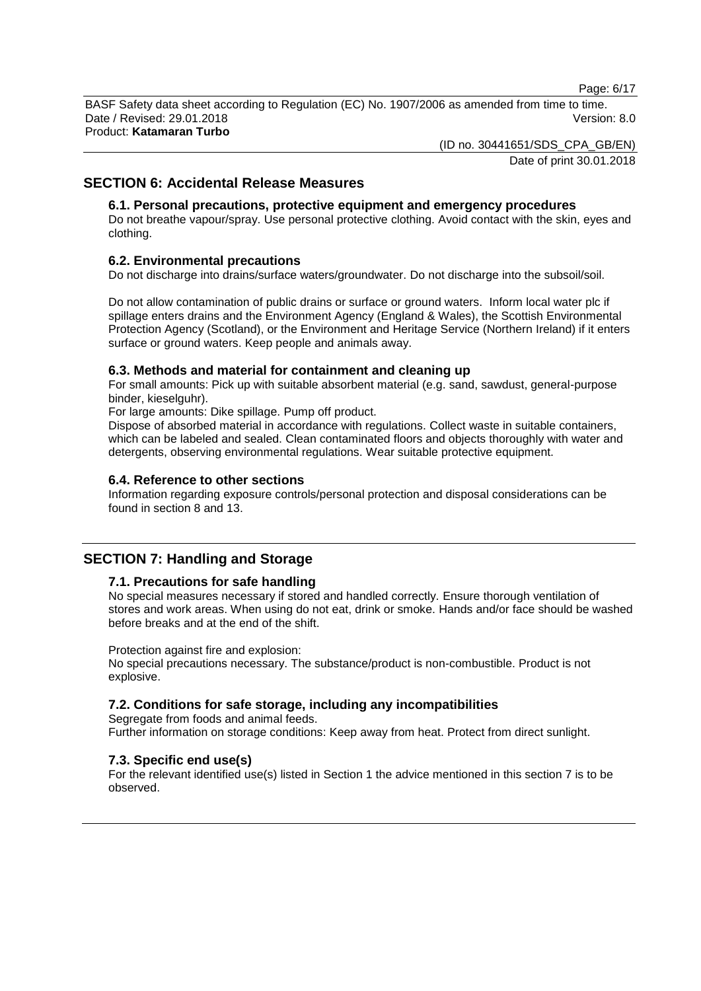Page: 6/17

BASF Safety data sheet according to Regulation (EC) No. 1907/2006 as amended from time to time. Date / Revised: 29.01.2018 Version: 8.0 Product: **Katamaran Turbo**

(ID no. 30441651/SDS\_CPA\_GB/EN)

Date of print 30.01.2018

# **SECTION 6: Accidental Release Measures**

# **6.1. Personal precautions, protective equipment and emergency procedures**

Do not breathe vapour/spray. Use personal protective clothing. Avoid contact with the skin, eyes and clothing.

# **6.2. Environmental precautions**

Do not discharge into drains/surface waters/groundwater. Do not discharge into the subsoil/soil.

Do not allow contamination of public drains or surface or ground waters. Inform local water plc if spillage enters drains and the Environment Agency (England & Wales), the Scottish Environmental Protection Agency (Scotland), or the Environment and Heritage Service (Northern Ireland) if it enters surface or ground waters. Keep people and animals away.

### **6.3. Methods and material for containment and cleaning up**

For small amounts: Pick up with suitable absorbent material (e.g. sand, sawdust, general-purpose binder, kieselguhr).

For large amounts: Dike spillage. Pump off product.

Dispose of absorbed material in accordance with regulations. Collect waste in suitable containers, which can be labeled and sealed. Clean contaminated floors and objects thoroughly with water and detergents, observing environmental regulations. Wear suitable protective equipment.

### **6.4. Reference to other sections**

Information regarding exposure controls/personal protection and disposal considerations can be found in section 8 and 13.

# **SECTION 7: Handling and Storage**

# **7.1. Precautions for safe handling**

No special measures necessary if stored and handled correctly. Ensure thorough ventilation of stores and work areas. When using do not eat, drink or smoke. Hands and/or face should be washed before breaks and at the end of the shift.

Protection against fire and explosion:

No special precautions necessary. The substance/product is non-combustible. Product is not explosive.

# **7.2. Conditions for safe storage, including any incompatibilities**

Segregate from foods and animal feeds. Further information on storage conditions: Keep away from heat. Protect from direct sunlight.

# **7.3. Specific end use(s)**

For the relevant identified use(s) listed in Section 1 the advice mentioned in this section 7 is to be observed.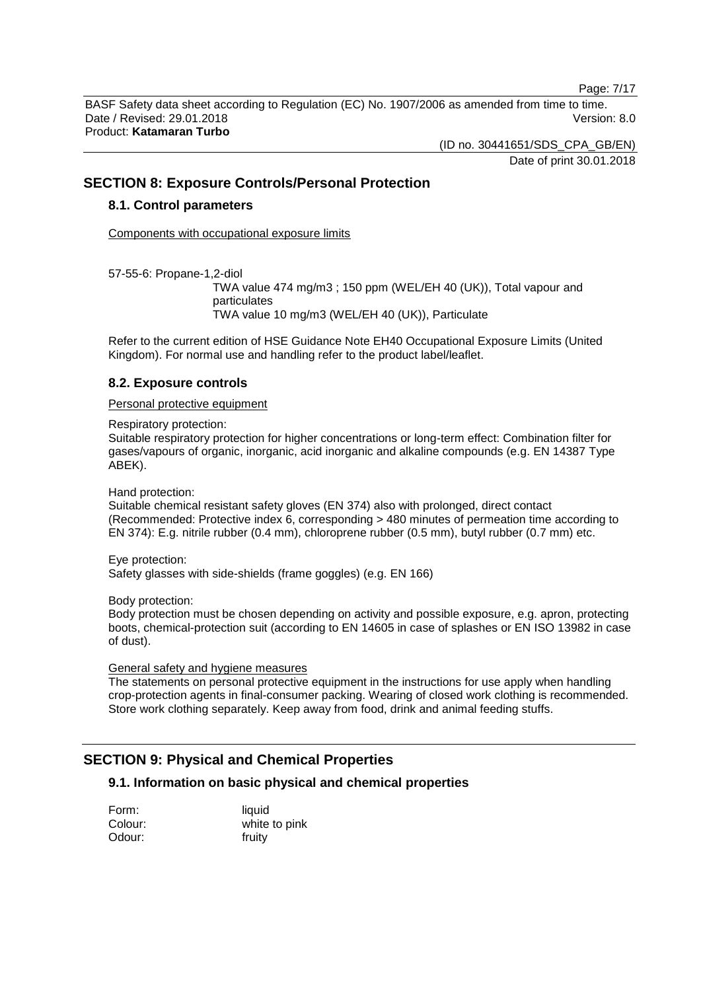Page: 7/17

BASF Safety data sheet according to Regulation (EC) No. 1907/2006 as amended from time to time. Date / Revised: 29.01.2018 Version: 8.0 Product: **Katamaran Turbo**

(ID no. 30441651/SDS\_CPA\_GB/EN)

Date of print 30.01.2018

# **SECTION 8: Exposure Controls/Personal Protection**

### **8.1. Control parameters**

Components with occupational exposure limits

57-55-6: Propane-1,2-diol

TWA value 474 mg/m3 ; 150 ppm (WEL/EH 40 (UK)), Total vapour and particulates TWA value 10 mg/m3 (WEL/EH 40 (UK)), Particulate

Refer to the current edition of HSE Guidance Note EH40 Occupational Exposure Limits (United Kingdom). For normal use and handling refer to the product label/leaflet.

### **8.2. Exposure controls**

#### Personal protective equipment

Respiratory protection:

Suitable respiratory protection for higher concentrations or long-term effect: Combination filter for gases/vapours of organic, inorganic, acid inorganic and alkaline compounds (e.g. EN 14387 Type ABEK).

Hand protection:

Suitable chemical resistant safety gloves (EN 374) also with prolonged, direct contact (Recommended: Protective index 6, corresponding > 480 minutes of permeation time according to EN 374): E.g. nitrile rubber (0.4 mm), chloroprene rubber (0.5 mm), butyl rubber (0.7 mm) etc.

Eye protection:

Safety glasses with side-shields (frame goggles) (e.g. EN 166)

Body protection:

Body protection must be chosen depending on activity and possible exposure, e.g. apron, protecting boots, chemical-protection suit (according to EN 14605 in case of splashes or EN ISO 13982 in case of dust).

General safety and hygiene measures

The statements on personal protective equipment in the instructions for use apply when handling crop-protection agents in final-consumer packing. Wearing of closed work clothing is recommended. Store work clothing separately. Keep away from food, drink and animal feeding stuffs.

# **SECTION 9: Physical and Chemical Properties**

# **9.1. Information on basic physical and chemical properties**

| Form:   | liquid        |
|---------|---------------|
| Colour: | white to pink |
| Odour:  | fruity        |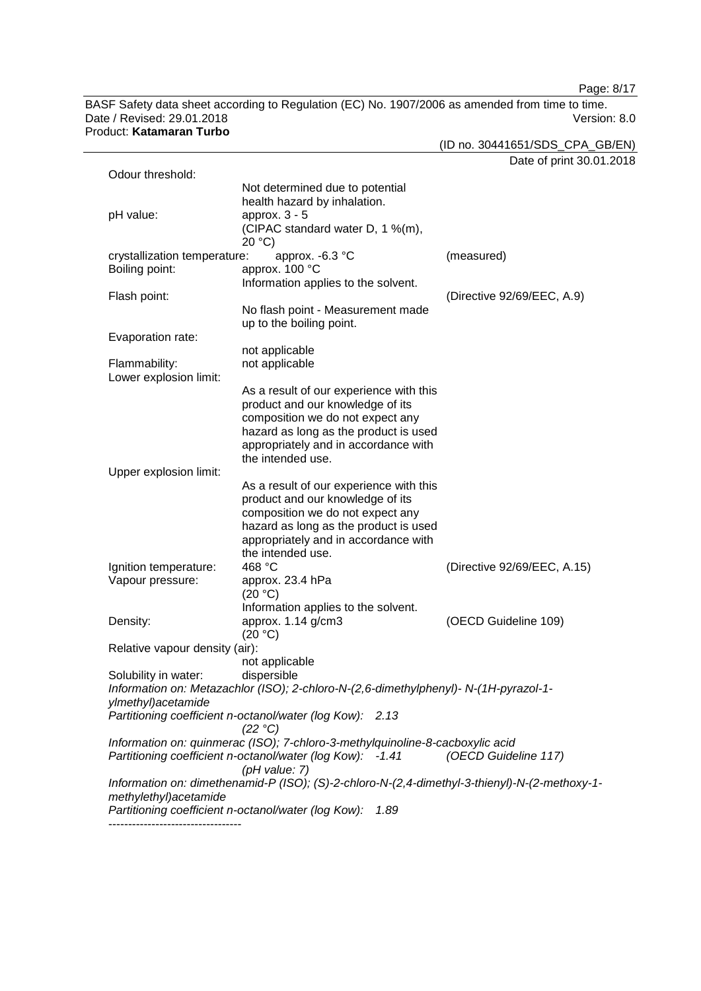Page: 8/17

BASF Safety data sheet according to Regulation (EC) No. 1907/2006 as amended from time to time.<br>Date / Revised: 29.01.2018 Version: 8.0 Date / Revised: 29.01.2018 Product: **Katamaran Turbo**

(ID no. 30441651/SDS\_CPA\_GB/EN)

Date of print 30.01.2018

|                                |                                                                                               | Date of print 50.01.        |
|--------------------------------|-----------------------------------------------------------------------------------------------|-----------------------------|
| Odour threshold:               |                                                                                               |                             |
|                                | Not determined due to potential                                                               |                             |
|                                | health hazard by inhalation.                                                                  |                             |
| pH value:                      | approx. $3 - 5$                                                                               |                             |
|                                | (CIPAC standard water D, 1 %(m),                                                              |                             |
|                                | 20 °C                                                                                         |                             |
| crystallization temperature:   | approx. -6.3 °C                                                                               | (measured)                  |
| Boiling point:                 | approx. 100 °C                                                                                |                             |
|                                | Information applies to the solvent.                                                           |                             |
| Flash point:                   |                                                                                               | (Directive 92/69/EEC, A.9)  |
|                                | No flash point - Measurement made                                                             |                             |
|                                | up to the boiling point.                                                                      |                             |
|                                |                                                                                               |                             |
| Evaporation rate:              |                                                                                               |                             |
|                                | not applicable                                                                                |                             |
| Flammability:                  | not applicable                                                                                |                             |
| Lower explosion limit:         |                                                                                               |                             |
|                                | As a result of our experience with this                                                       |                             |
|                                | product and our knowledge of its                                                              |                             |
|                                | composition we do not expect any                                                              |                             |
|                                | hazard as long as the product is used                                                         |                             |
|                                | appropriately and in accordance with                                                          |                             |
|                                | the intended use.                                                                             |                             |
| Upper explosion limit:         |                                                                                               |                             |
|                                | As a result of our experience with this                                                       |                             |
|                                | product and our knowledge of its                                                              |                             |
|                                | composition we do not expect any                                                              |                             |
|                                | hazard as long as the product is used                                                         |                             |
|                                | appropriately and in accordance with                                                          |                             |
|                                | the intended use.                                                                             |                             |
| Ignition temperature:          | 468 °C                                                                                        | (Directive 92/69/EEC, A.15) |
| Vapour pressure:               | approx. 23.4 hPa                                                                              |                             |
|                                | (20 °C)                                                                                       |                             |
|                                | Information applies to the solvent.                                                           |                             |
|                                |                                                                                               |                             |
| Density:                       | approx. 1.14 g/cm3                                                                            | (OECD Guideline 109)        |
|                                | (20 °C)                                                                                       |                             |
| Relative vapour density (air): |                                                                                               |                             |
|                                | not applicable                                                                                |                             |
| Solubility in water:           | dispersible                                                                                   |                             |
|                                | Information on: Metazachlor (ISO); 2-chloro-N-(2,6-dimethylphenyl)- N-(1H-pyrazol-1-          |                             |
| ylmethyl) acetamide            |                                                                                               |                             |
|                                | Partitioning coefficient n-octanol/water (log Kow): 2.13                                      |                             |
|                                | (22 °C)                                                                                       |                             |
|                                | Information on: quinmerac (ISO); 7-chloro-3-methylquinoline-8-cacboxylic acid                 |                             |
|                                | Partitioning coefficient n-octanol/water (log Kow): -1.41                                     | (OECD Guideline 117)        |
|                                | (pH value: 7)                                                                                 |                             |
|                                | Information on: dimethenamid-P (ISO); (S)-2-chloro-N-(2,4-dimethyl-3-thienyl)-N-(2-methoxy-1- |                             |
| methylethyl)acetamide          |                                                                                               |                             |
|                                | Partitioning coefficient n-octanol/water (log Kow):<br>1.89                                   |                             |
|                                |                                                                                               |                             |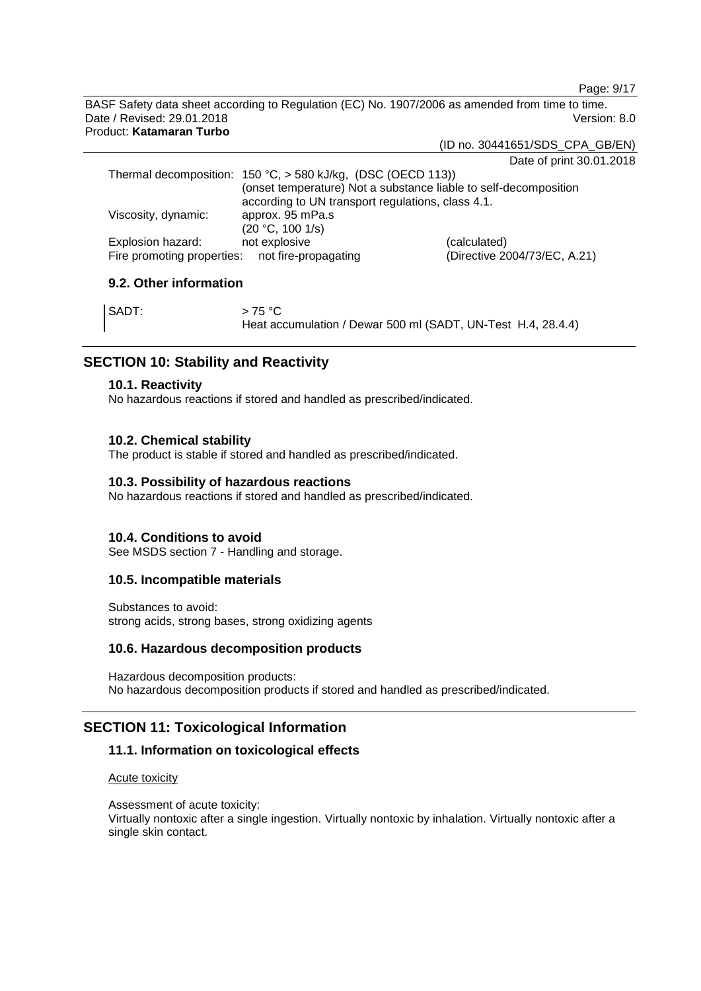Page: 9/17

BASF Safety data sheet according to Regulation (EC) No. 1907/2006 as amended from time to time. Date / Revised: 29.01.2018 Version: 8.0 Product: **Katamaran Turbo**

(ID no. 30441651/SDS\_CPA\_GB/EN)

Date of print 30.01.2018

|                                                                   | $-$ 0.10 $-$ 0.10 $-$ 0.10 $-$ 0.10 $-$ 1.10 $-$ 1.10 $-$ 1.10 $-$ 1.10 $-$ 1.10 $-$ 1.10 $-$ 1.10 $-$ 1.10 $-$ 1.10 $-$ 1.10 $-$ 1.10 $-$ 1.10 $-$ 1.10 $-$ 1.10 $-$ 1.10 $-$ 1.10 $-$ 1.10 $-$ 1.10 $-$ 1.10 $-$ 1.10 $-$ 1 |
|-------------------------------------------------------------------|-------------------------------------------------------------------------------------------------------------------------------------------------------------------------------------------------------------------------------|
| Thermal decomposition: $150 °C$ , $> 580$ kJ/kg, (DSC (OECD 113)) |                                                                                                                                                                                                                               |
| (onset temperature) Not a substance liable to self-decomposition  |                                                                                                                                                                                                                               |
| according to UN transport regulations, class 4.1.                 |                                                                                                                                                                                                                               |
| approx. 95 mPa.s                                                  |                                                                                                                                                                                                                               |
| (20 °C, 100 1/s)                                                  |                                                                                                                                                                                                                               |
| not explosive                                                     | (calculated)                                                                                                                                                                                                                  |
| Fire promoting properties: not fire-propagating                   | (Directive 2004/73/EC, A.21)                                                                                                                                                                                                  |
|                                                                   |                                                                                                                                                                                                                               |

# **9.2. Other information**

| SADT: | >75 °C                                                       |
|-------|--------------------------------------------------------------|
|       | Heat accumulation / Dewar 500 ml (SADT, UN-Test H.4, 28.4.4) |

# **SECTION 10: Stability and Reactivity**

### **10.1. Reactivity**

No hazardous reactions if stored and handled as prescribed/indicated.

# **10.2. Chemical stability**

The product is stable if stored and handled as prescribed/indicated.

### **10.3. Possibility of hazardous reactions**

No hazardous reactions if stored and handled as prescribed/indicated.

# **10.4. Conditions to avoid**

See MSDS section 7 - Handling and storage.

### **10.5. Incompatible materials**

Substances to avoid: strong acids, strong bases, strong oxidizing agents

### **10.6. Hazardous decomposition products**

Hazardous decomposition products: No hazardous decomposition products if stored and handled as prescribed/indicated.

# **SECTION 11: Toxicological Information**

# **11.1. Information on toxicological effects**

### Acute toxicity

Assessment of acute toxicity: Virtually nontoxic after a single ingestion. Virtually nontoxic by inhalation. Virtually nontoxic after a single skin contact.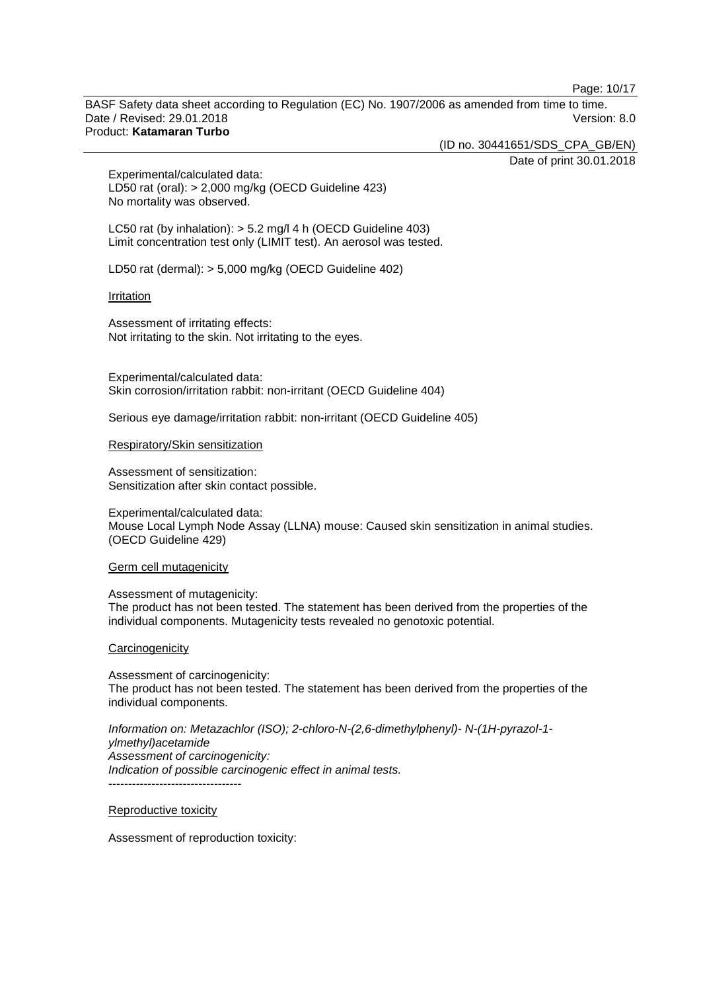Page: 10/17

BASF Safety data sheet according to Regulation (EC) No. 1907/2006 as amended from time to time. Date / Revised: 29.01.2018 Version: 8.0 Product: **Katamaran Turbo**

(ID no. 30441651/SDS\_CPA\_GB/EN)

Date of print 30.01.2018

Experimental/calculated data: LD50 rat (oral): > 2,000 mg/kg (OECD Guideline 423) No mortality was observed.

LC50 rat (by inhalation): > 5.2 mg/l 4 h (OECD Guideline 403) Limit concentration test only (LIMIT test). An aerosol was tested.

LD50 rat (dermal): > 5,000 mg/kg (OECD Guideline 402)

#### **Irritation**

Assessment of irritating effects: Not irritating to the skin. Not irritating to the eyes.

Experimental/calculated data: Skin corrosion/irritation rabbit: non-irritant (OECD Guideline 404)

Serious eye damage/irritation rabbit: non-irritant (OECD Guideline 405)

#### Respiratory/Skin sensitization

Assessment of sensitization: Sensitization after skin contact possible.

Experimental/calculated data: Mouse Local Lymph Node Assay (LLNA) mouse: Caused skin sensitization in animal studies. (OECD Guideline 429)

#### Germ cell mutagenicity

Assessment of mutagenicity: The product has not been tested. The statement has been derived from the properties of the individual components. Mutagenicity tests revealed no genotoxic potential.

#### **Carcinogenicity**

Assessment of carcinogenicity: The product has not been tested. The statement has been derived from the properties of the individual components.

*Information on: Metazachlor (ISO); 2-chloro-N-(2,6-dimethylphenyl)- N-(1H-pyrazol-1 ylmethyl)acetamide Assessment of carcinogenicity: Indication of possible carcinogenic effect in animal tests.* ----------------------------------

Reproductive toxicity

Assessment of reproduction toxicity: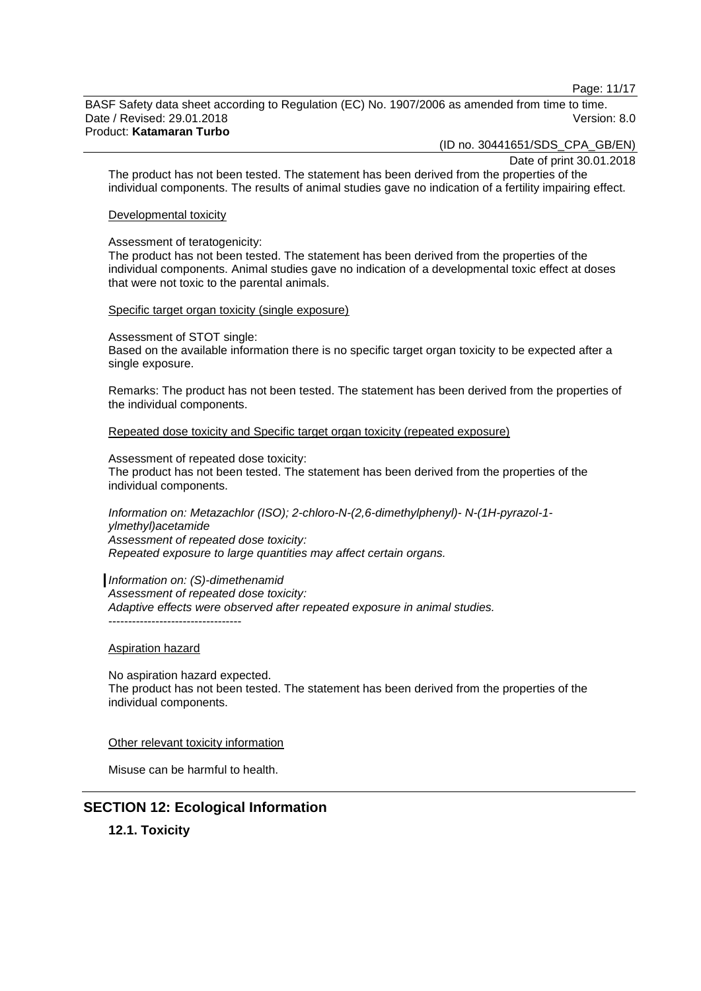Page: 11/17

BASF Safety data sheet according to Regulation (EC) No. 1907/2006 as amended from time to time. Date / Revised: 29.01.2018 Version: 8.0 Product: **Katamaran Turbo**

(ID no. 30441651/SDS\_CPA\_GB/EN)

Date of print 30.01.2018

The product has not been tested. The statement has been derived from the properties of the individual components. The results of animal studies gave no indication of a fertility impairing effect.

#### Developmental toxicity

#### Assessment of teratogenicity:

The product has not been tested. The statement has been derived from the properties of the individual components. Animal studies gave no indication of a developmental toxic effect at doses that were not toxic to the parental animals.

Specific target organ toxicity (single exposure)

Assessment of STOT single:

Based on the available information there is no specific target organ toxicity to be expected after a single exposure.

Remarks: The product has not been tested. The statement has been derived from the properties of the individual components.

Repeated dose toxicity and Specific target organ toxicity (repeated exposure)

Assessment of repeated dose toxicity: The product has not been tested. The statement has been derived from the properties of the individual components.

*Information on: Metazachlor (ISO); 2-chloro-N-(2,6-dimethylphenyl)- N-(1H-pyrazol-1 ylmethyl)acetamide Assessment of repeated dose toxicity: Repeated exposure to large quantities may affect certain organs.*

*Information on: (S)-dimethenamid Assessment of repeated dose toxicity: Adaptive effects were observed after repeated exposure in animal studies.* ----------------------------------

#### Aspiration hazard

No aspiration hazard expected. The product has not been tested. The statement has been derived from the properties of the individual components.

Other relevant toxicity information

Misuse can be harmful to health.

# **SECTION 12: Ecological Information**

**12.1. Toxicity**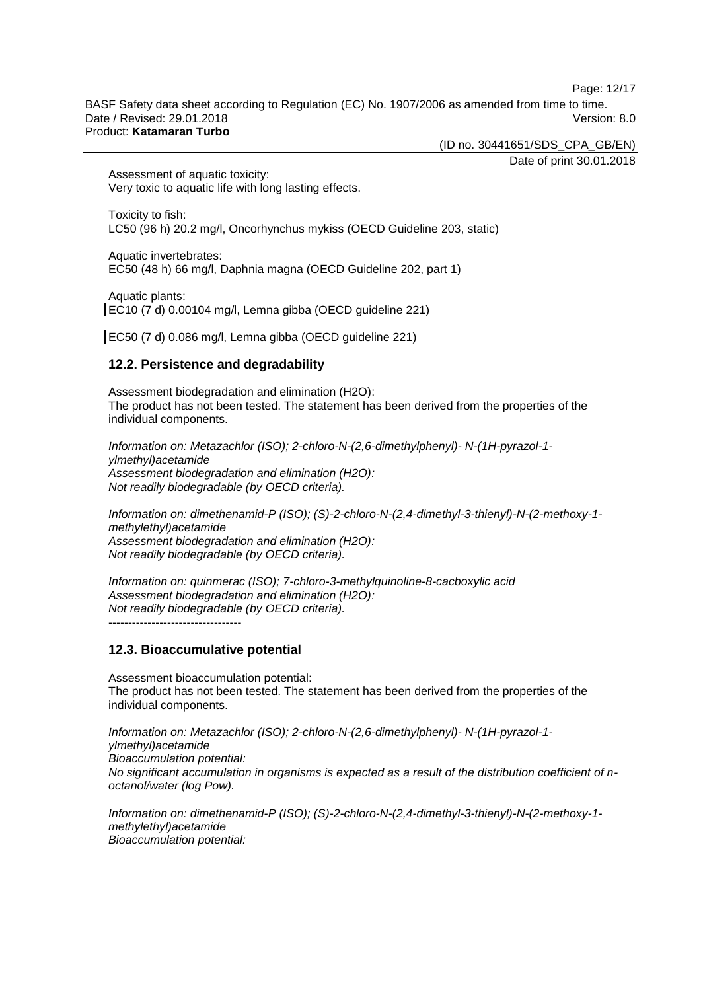Page: 12/17

BASF Safety data sheet according to Regulation (EC) No. 1907/2006 as amended from time to time. Date / Revised: 29.01.2018 Version: 8.0 Product: **Katamaran Turbo**

(ID no. 30441651/SDS\_CPA\_GB/EN)

Date of print 30.01.2018

Assessment of aquatic toxicity: Very toxic to aquatic life with long lasting effects.

Toxicity to fish: LC50 (96 h) 20.2 mg/l, Oncorhynchus mykiss (OECD Guideline 203, static)

Aquatic invertebrates: EC50 (48 h) 66 mg/l, Daphnia magna (OECD Guideline 202, part 1)

Aquatic plants: EC10 (7 d) 0.00104 mg/l, Lemna gibba (OECD guideline 221)

EC50 (7 d) 0.086 mg/l, Lemna gibba (OECD guideline 221)

# **12.2. Persistence and degradability**

Assessment biodegradation and elimination (H2O): The product has not been tested. The statement has been derived from the properties of the individual components.

*Information on: Metazachlor (ISO); 2-chloro-N-(2,6-dimethylphenyl)- N-(1H-pyrazol-1 ylmethyl)acetamide Assessment biodegradation and elimination (H2O): Not readily biodegradable (by OECD criteria).*

*Information on: dimethenamid-P (ISO); (S)-2-chloro-N-(2,4-dimethyl-3-thienyl)-N-(2-methoxy-1 methylethyl)acetamide Assessment biodegradation and elimination (H2O): Not readily biodegradable (by OECD criteria).*

*Information on: quinmerac (ISO); 7-chloro-3-methylquinoline-8-cacboxylic acid Assessment biodegradation and elimination (H2O): Not readily biodegradable (by OECD criteria).* ----------------------------------

# **12.3. Bioaccumulative potential**

Assessment bioaccumulation potential: The product has not been tested. The statement has been derived from the properties of the individual components.

*Information on: Metazachlor (ISO); 2-chloro-N-(2,6-dimethylphenyl)- N-(1H-pyrazol-1 ylmethyl)acetamide Bioaccumulation potential: No significant accumulation in organisms is expected as a result of the distribution coefficient of noctanol/water (log Pow).*

*Information on: dimethenamid-P (ISO); (S)-2-chloro-N-(2,4-dimethyl-3-thienyl)-N-(2-methoxy-1 methylethyl)acetamide Bioaccumulation potential:*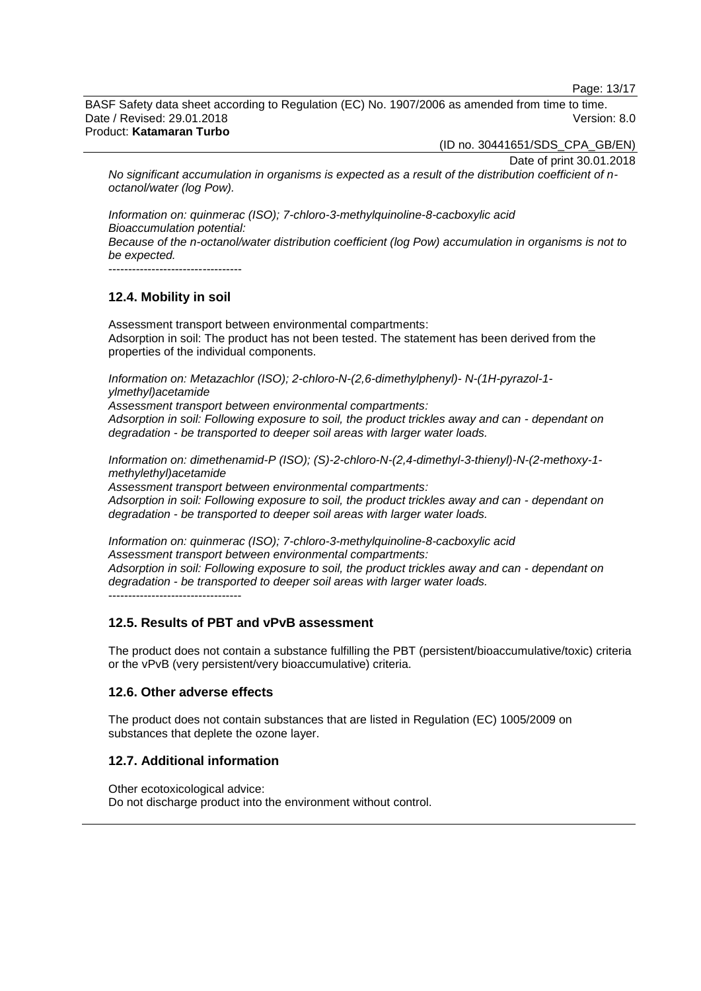Page: 13/17

BASF Safety data sheet according to Regulation (EC) No. 1907/2006 as amended from time to time. Date / Revised: 29.01.2018 Version: 8.0 Product: **Katamaran Turbo**

(ID no. 30441651/SDS\_CPA\_GB/EN)

Date of print 30.01.2018

*No significant accumulation in organisms is expected as a result of the distribution coefficient of noctanol/water (log Pow).*

*Information on: quinmerac (ISO); 7-chloro-3-methylquinoline-8-cacboxylic acid Bioaccumulation potential: Because of the n-octanol/water distribution coefficient (log Pow) accumulation in organisms is not to be expected.* ----------------------------------

# **12.4. Mobility in soil**

Assessment transport between environmental compartments: Adsorption in soil: The product has not been tested. The statement has been derived from the properties of the individual components.

*Information on: Metazachlor (ISO); 2-chloro-N-(2,6-dimethylphenyl)- N-(1H-pyrazol-1 ylmethyl)acetamide*

*Assessment transport between environmental compartments: Adsorption in soil: Following exposure to soil, the product trickles away and can - dependant on degradation - be transported to deeper soil areas with larger water loads.*

*Information on: dimethenamid-P (ISO); (S)-2-chloro-N-(2,4-dimethyl-3-thienyl)-N-(2-methoxy-1 methylethyl)acetamide*

*Assessment transport between environmental compartments: Adsorption in soil: Following exposure to soil, the product trickles away and can - dependant on degradation - be transported to deeper soil areas with larger water loads.*

*Information on: quinmerac (ISO); 7-chloro-3-methylquinoline-8-cacboxylic acid Assessment transport between environmental compartments: Adsorption in soil: Following exposure to soil, the product trickles away and can - dependant on degradation - be transported to deeper soil areas with larger water loads.* ----------------------------------

# **12.5. Results of PBT and vPvB assessment**

The product does not contain a substance fulfilling the PBT (persistent/bioaccumulative/toxic) criteria or the vPvB (very persistent/very bioaccumulative) criteria.

# **12.6. Other adverse effects**

The product does not contain substances that are listed in Regulation (EC) 1005/2009 on substances that deplete the ozone layer.

# **12.7. Additional information**

Other ecotoxicological advice: Do not discharge product into the environment without control.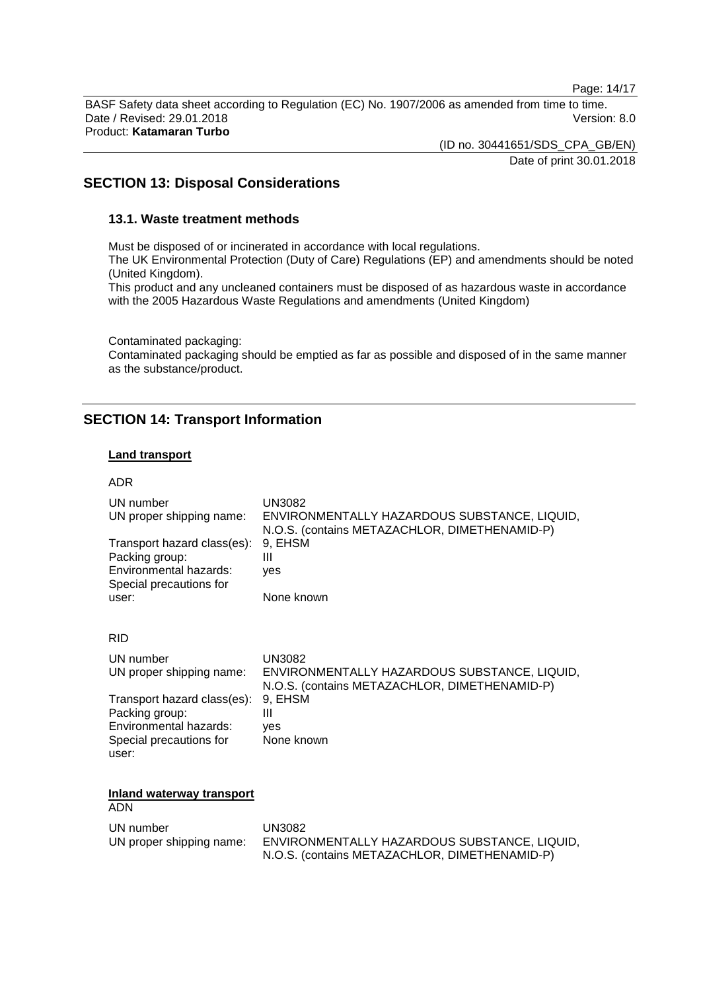Page: 14/17

BASF Safety data sheet according to Regulation (EC) No. 1907/2006 as amended from time to time. Date / Revised: 29.01.2018 Version: 8.0 Product: **Katamaran Turbo**

(ID no. 30441651/SDS\_CPA\_GB/EN)

Date of print 30.01.2018

# **SECTION 13: Disposal Considerations**

### **13.1. Waste treatment methods**

Must be disposed of or incinerated in accordance with local regulations.

The UK Environmental Protection (Duty of Care) Regulations (EP) and amendments should be noted (United Kingdom).

This product and any uncleaned containers must be disposed of as hazardous waste in accordance with the 2005 Hazardous Waste Regulations and amendments (United Kingdom)

Contaminated packaging:

Contaminated packaging should be emptied as far as possible and disposed of in the same manner as the substance/product.

# **SECTION 14: Transport Information**

#### **Land transport**

| <b>ADR</b>                                                                                                       |                                                                                                                                       |
|------------------------------------------------------------------------------------------------------------------|---------------------------------------------------------------------------------------------------------------------------------------|
| UN number<br>UN proper shipping name:<br>Transport hazard class(es):<br>Packing group:<br>Environmental hazards: | <b>UN3082</b><br>ENVIRONMENTALLY HAZARDOUS SUBSTANCE, LIQUID,<br>N.O.S. (contains METAZACHLOR, DIMETHENAMID-P)<br>9, EHSM<br>Ш<br>ves |
| Special precautions for<br>user:                                                                                 | None known                                                                                                                            |
| <b>RID</b>                                                                                                       |                                                                                                                                       |
| UN number<br>UN proper shipping name:                                                                            | <b>UN3082</b><br>ENVIRONMENTALLY HAZARDOUS SUBSTANCE, LIQUID,<br>N.O.S. (contains METAZACHLOR, DIMETHENAMID-P)                        |
| Transport hazard class(es):<br>Packing group:<br>Environmental hazards:<br>Special precautions for<br>user:      | 9, EHSM<br>Ш<br>ves<br>None known                                                                                                     |
| Inland waterway transport                                                                                        |                                                                                                                                       |
| <b>ADN</b>                                                                                                       |                                                                                                                                       |
| UN number<br>UN proper shipping name:                                                                            | <b>UN3082</b><br>ENVIRONMENTALLY HAZARDOUS SUBSTANCE, LIQUID,<br>N.O.S. (contains METAZACHLOR, DIMETHENAMID-P)                        |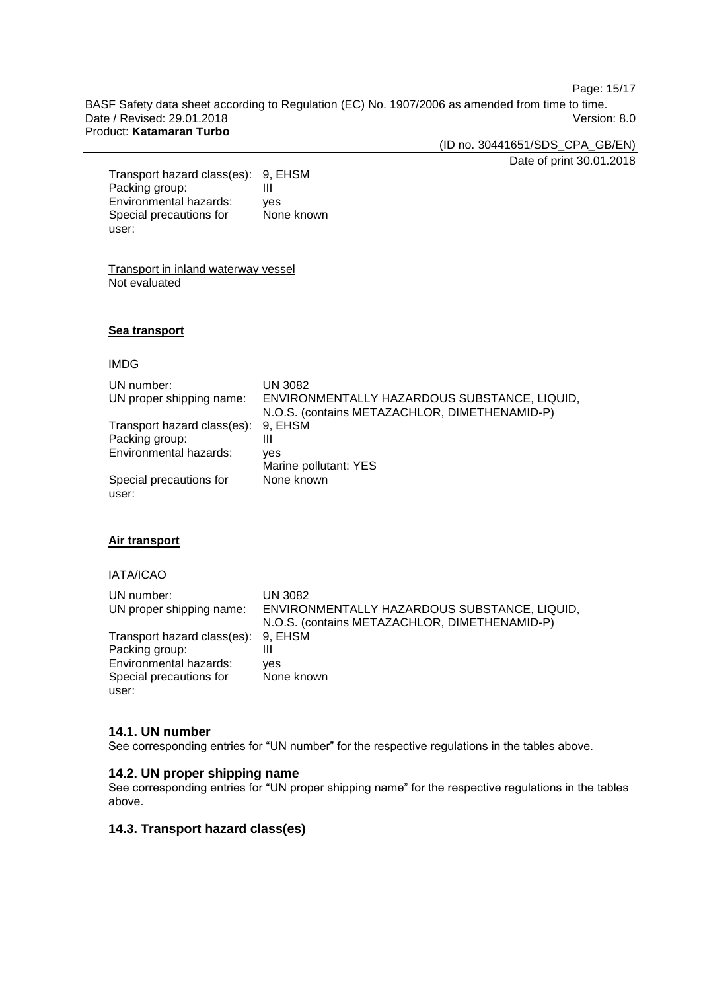Page: 15/17

BASF Safety data sheet according to Regulation (EC) No. 1907/2006 as amended from time to time. Date / Revised: 29.01.2018 Version: 8.0 Product: **Katamaran Turbo**

(ID no. 30441651/SDS\_CPA\_GB/EN)

Date of print 30.01.2018

Transport hazard class(es): 9, EHSM Packing group: III<br>Environmental hazards: ves Environmental hazards: Special precautions for user: None known

Transport in inland waterway vessel Not evaluated

#### **Sea transport**

#### IMDG

| UN number:<br>UN proper shipping name: | <b>UN 3082</b><br>ENVIRONMENTALLY HAZARDOUS SUBSTANCE, LIQUID,<br>N.O.S. (contains METAZACHLOR, DIMETHENAMID-P) |
|----------------------------------------|-----------------------------------------------------------------------------------------------------------------|
| Transport hazard class(es):            | 9, EHSM                                                                                                         |
| Packing group:                         | Ш                                                                                                               |
| Environmental hazards:                 | ves                                                                                                             |
|                                        | Marine pollutant: YES                                                                                           |
| Special precautions for<br>user:       | None known                                                                                                      |

### **Air transport**

#### IATA/ICAO

| UN number:                          | UN 3082                                       |
|-------------------------------------|-----------------------------------------------|
| UN proper shipping name:            | ENVIRONMENTALLY HAZARDOUS SUBSTANCE, LIQUID,  |
|                                     | N.O.S. (contains METAZACHLOR, DIMETHENAMID-P) |
| Transport hazard class(es): 9, EHSM |                                               |
| Packing group:                      | Ш                                             |
| Environmental hazards:              | ves                                           |
| Special precautions for             | None known                                    |
| user:                               |                                               |

#### **14.1. UN number**

See corresponding entries for "UN number" for the respective regulations in the tables above.

### **14.2. UN proper shipping name**

See corresponding entries for "UN proper shipping name" for the respective regulations in the tables above.

#### **14.3. Transport hazard class(es)**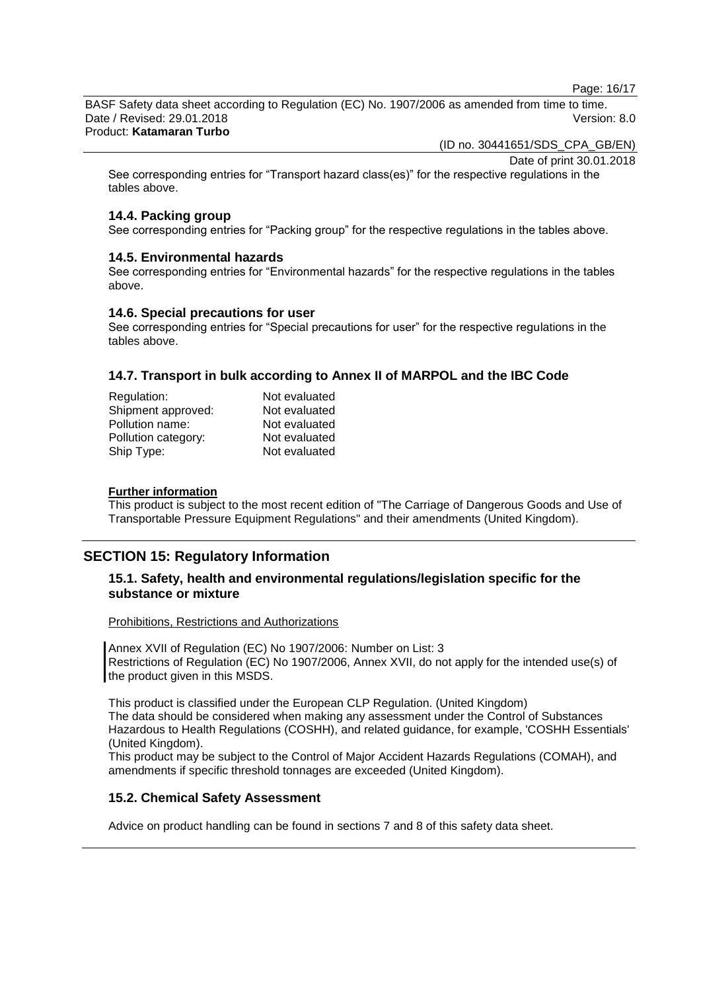Page: 16/17

BASF Safety data sheet according to Regulation (EC) No. 1907/2006 as amended from time to time. Date / Revised: 29.01.2018 Version: 8.0 Product: **Katamaran Turbo**

(ID no. 30441651/SDS\_CPA\_GB/EN)

Date of print 30.01.2018

See corresponding entries for "Transport hazard class(es)" for the respective regulations in the tables above.

# **14.4. Packing group**

See corresponding entries for "Packing group" for the respective regulations in the tables above.

### **14.5. Environmental hazards**

See corresponding entries for "Environmental hazards" for the respective regulations in the tables above.

### **14.6. Special precautions for user**

See corresponding entries for "Special precautions for user" for the respective regulations in the tables above.

# **14.7. Transport in bulk according to Annex II of MARPOL and the IBC Code**

| Not evaluated |
|---------------|
| Not evaluated |
| Not evaluated |
| Not evaluated |
| Not evaluated |
|               |

#### **Further information**

This product is subject to the most recent edition of "The Carriage of Dangerous Goods and Use of Transportable Pressure Equipment Regulations" and their amendments (United Kingdom).

# **SECTION 15: Regulatory Information**

# **15.1. Safety, health and environmental regulations/legislation specific for the substance or mixture**

Prohibitions, Restrictions and Authorizations

Annex XVII of Regulation (EC) No 1907/2006: Number on List: 3 Restrictions of Regulation (EC) No 1907/2006, Annex XVII, do not apply for the intended use(s) of the product given in this MSDS.

This product is classified under the European CLP Regulation. (United Kingdom) The data should be considered when making any assessment under the Control of Substances Hazardous to Health Regulations (COSHH), and related guidance, for example, 'COSHH Essentials' (United Kingdom).

This product may be subject to the Control of Major Accident Hazards Regulations (COMAH), and amendments if specific threshold tonnages are exceeded (United Kingdom).

# **15.2. Chemical Safety Assessment**

Advice on product handling can be found in sections 7 and 8 of this safety data sheet.